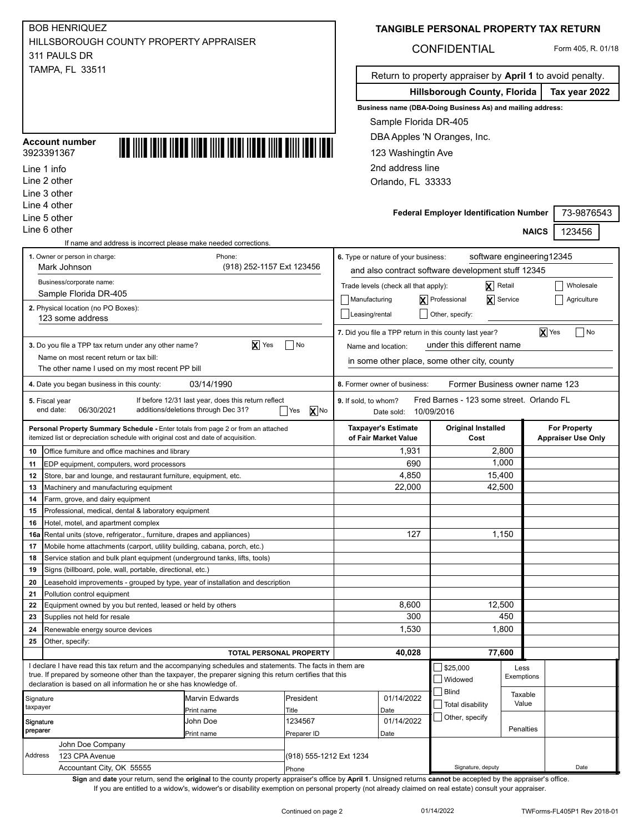| <b>BOB HENRIQUEZ</b>                   |
|----------------------------------------|
| HILLSBOROUGH COUNTY PROPERTY APPRAISER |
| 311 PAULS DR                           |
| <b>TAMPA, FL 33511</b>                 |

#### 3923391367 **Account number**



Line 2 other Line 3 other Line 4 other Line 5 other

|  |  |  |  | TANGIBLE PERSONAL PROPERTY TAX RETURN |
|--|--|--|--|---------------------------------------|
|--|--|--|--|---------------------------------------|

## CONFIDENTIAL Form 405, R. 01/18

Return to property appraiser by **April 1** to avoid penalty.

**Hillsborough County, Florida Tax year 2022**

**Business name (DBA-Doing Business As) and mailing address:**

Sample Florida DR-405

DBA Apples 'N Oranges, Inc.

123 Washingtin Ave

2nd address line

Orlando, FL 33333

|                       | Line 5 other                                                                                                                                                            |                                                     |                         |                      |                                      | <b>Federal Employer Identification Number</b>          |                                | 73-9876543                |  |
|-----------------------|-------------------------------------------------------------------------------------------------------------------------------------------------------------------------|-----------------------------------------------------|-------------------------|----------------------|--------------------------------------|--------------------------------------------------------|--------------------------------|---------------------------|--|
|                       | Line 6 other                                                                                                                                                            |                                                     |                         |                      |                                      |                                                        |                                | 123456<br><b>NAICS</b>    |  |
|                       | If name and address is incorrect please make needed corrections.                                                                                                        |                                                     |                         |                      |                                      |                                                        |                                |                           |  |
|                       | 1. Owner or person in charge:                                                                                                                                           | Phone:                                              |                         |                      | 6. Type or nature of your business:  |                                                        |                                | software engineering12345 |  |
|                       | Mark Johnson                                                                                                                                                            | (918) 252-1157 Ext 123456                           |                         |                      |                                      | and also contract software development stuff 12345     |                                |                           |  |
|                       | Business/corporate name:                                                                                                                                                |                                                     |                         |                      | Trade levels (check all that apply): |                                                        | $\overline{\mathsf{X}}$ Retail | Wholesale                 |  |
|                       | Sample Florida DR-405                                                                                                                                                   |                                                     |                         |                      |                                      | X Professional                                         | X Service                      |                           |  |
|                       | 2. Physical location (no PO Boxes):                                                                                                                                     |                                                     |                         | Manufacturing        |                                      |                                                        |                                | Agriculture               |  |
|                       | 123 some address                                                                                                                                                        |                                                     |                         | Leasing/rental       |                                      | Other, specify:                                        |                                |                           |  |
|                       |                                                                                                                                                                         |                                                     |                         |                      |                                      | 7. Did you file a TPP return in this county last year? |                                | <b>X</b> Yes<br>$ $ No    |  |
|                       | 3. Do you file a TPP tax return under any other name?                                                                                                                   | $\overline{\mathbf{X}}$ Yes                         | $\Box$ No               | Name and location:   |                                      | under this different name                              |                                |                           |  |
|                       | Name on most recent return or tax bill:                                                                                                                                 |                                                     |                         |                      |                                      |                                                        |                                |                           |  |
|                       | The other name I used on my most recent PP bill                                                                                                                         |                                                     |                         |                      |                                      | in some other place, some other city, county           |                                |                           |  |
|                       | 4. Date you began business in this county:                                                                                                                              | 03/14/1990                                          |                         |                      | 8. Former owner of business:         | Former Business owner name 123                         |                                |                           |  |
|                       | 5. Fiscal year                                                                                                                                                          | If before 12/31 last year, does this return reflect |                         | 9. If sold, to whom? |                                      | Fred Barnes - 123 some street. Orlando FL              |                                |                           |  |
|                       | end date:<br>06/30/2021                                                                                                                                                 | additions/deletions through Dec 31?                 | X No<br>Yes             |                      | Date sold: 10/09/2016                |                                                        |                                |                           |  |
|                       |                                                                                                                                                                         |                                                     |                         |                      | <b>Taxpayer's Estimate</b>           | <b>Original Installed</b>                              |                                | <b>For Property</b>       |  |
|                       | Personal Property Summary Schedule - Enter totals from page 2 or from an attached<br>itemized list or depreciation schedule with original cost and date of acquisition. |                                                     |                         |                      | of Fair Market Value                 | Cost                                                   |                                | <b>Appraiser Use Only</b> |  |
| 10                    | Office furniture and office machines and library                                                                                                                        |                                                     |                         |                      | 1,931                                |                                                        | 2,800                          |                           |  |
| 11                    | EDP equipment, computers, word processors                                                                                                                               |                                                     |                         |                      | 690                                  |                                                        | 1,000                          |                           |  |
| 12                    | Store, bar and lounge, and restaurant furniture, equipment, etc.                                                                                                        |                                                     |                         |                      | 4,850                                |                                                        | 15,400                         |                           |  |
| 13                    | Machinery and manufacturing equipment                                                                                                                                   |                                                     |                         |                      | 22,000                               |                                                        | 42,500                         |                           |  |
| 14                    | Farm, grove, and dairy equipment                                                                                                                                        |                                                     |                         |                      |                                      |                                                        |                                |                           |  |
| 15                    | Professional, medical, dental & laboratory equipment                                                                                                                    |                                                     |                         |                      |                                      |                                                        |                                |                           |  |
| 16                    | Hotel, motel, and apartment complex                                                                                                                                     |                                                     |                         |                      |                                      |                                                        |                                |                           |  |
| 16a                   | Rental units (stove, refrigerator., furniture, drapes and appliances)                                                                                                   |                                                     |                         |                      | 127                                  |                                                        | 1,150                          |                           |  |
| 17                    | Mobile home attachments (carport, utility building, cabana, porch, etc.)                                                                                                |                                                     |                         |                      |                                      |                                                        |                                |                           |  |
| 18                    | Service station and bulk plant equipment (underground tanks, lifts, tools)                                                                                              |                                                     |                         |                      |                                      |                                                        |                                |                           |  |
| 19                    | Signs (billboard, pole, wall, portable, directional, etc.)                                                                                                              |                                                     |                         |                      |                                      |                                                        |                                |                           |  |
| 20                    | Leasehold improvements - grouped by type, year of installation and description                                                                                          |                                                     |                         |                      |                                      |                                                        |                                |                           |  |
| 21                    | Pollution control equipment                                                                                                                                             |                                                     |                         |                      |                                      |                                                        |                                |                           |  |
| 22                    | Equipment owned by you but rented, leased or held by others                                                                                                             |                                                     |                         |                      | 8,600                                |                                                        | 12,500                         |                           |  |
| 23                    | Supplies not held for resale                                                                                                                                            |                                                     |                         |                      | 300                                  |                                                        | 450                            |                           |  |
| 24                    | Renewable energy source devices                                                                                                                                         |                                                     |                         |                      | 1,530                                |                                                        | 1,800                          |                           |  |
| 25                    | Other, specify:                                                                                                                                                         |                                                     |                         |                      |                                      |                                                        |                                |                           |  |
|                       |                                                                                                                                                                         | <b>TOTAL PERSONAL PROPERTY</b>                      |                         |                      | 40,028                               |                                                        | 77,600                         |                           |  |
|                       | I declare I have read this tax return and the accompanying schedules and statements. The facts in them are                                                              |                                                     |                         |                      |                                      | \$25,000                                               | Less                           |                           |  |
|                       | true. If prepared by someone other than the taxpayer, the preparer signing this return certifies that this                                                              |                                                     |                         |                      |                                      | Widowed                                                | Exemptions                     |                           |  |
|                       | declaration is based on all information he or she has knowledge of.                                                                                                     |                                                     |                         |                      |                                      | $\Box$ Blind                                           | Taxable                        |                           |  |
| Signature<br>taxpayer |                                                                                                                                                                         | Marvin Edwards                                      | President               |                      | 01/14/2022                           | Total disability                                       | Value                          |                           |  |
|                       |                                                                                                                                                                         | Print name                                          | Title                   |                      | Date                                 | Other, specify                                         |                                |                           |  |
| Signature<br>preparer |                                                                                                                                                                         | John Doe                                            | 1234567                 |                      | 01/14/2022                           |                                                        | Penalties                      |                           |  |
|                       | John Doe Company                                                                                                                                                        | Print name                                          | Preparer ID             |                      | Date                                 |                                                        |                                |                           |  |
| Address               |                                                                                                                                                                         |                                                     |                         |                      |                                      |                                                        |                                |                           |  |
|                       | 123 CPA Avenue<br>Accountant City, OK 55555                                                                                                                             |                                                     | (918) 555-1212 Ext 1234 |                      |                                      | Signature, deputy                                      |                                | Date                      |  |
|                       |                                                                                                                                                                         |                                                     | Phone                   |                      |                                      |                                                        |                                |                           |  |

**Sign** and **date** your return, send the **original** to the county property appraiser's office by **April 1**. Unsigned returns **cannot** be accepted by the appraiser's office. If you are entitled to a widow's, widower's or disability exemption on personal property (not already claimed on real estate) consult your appraiser.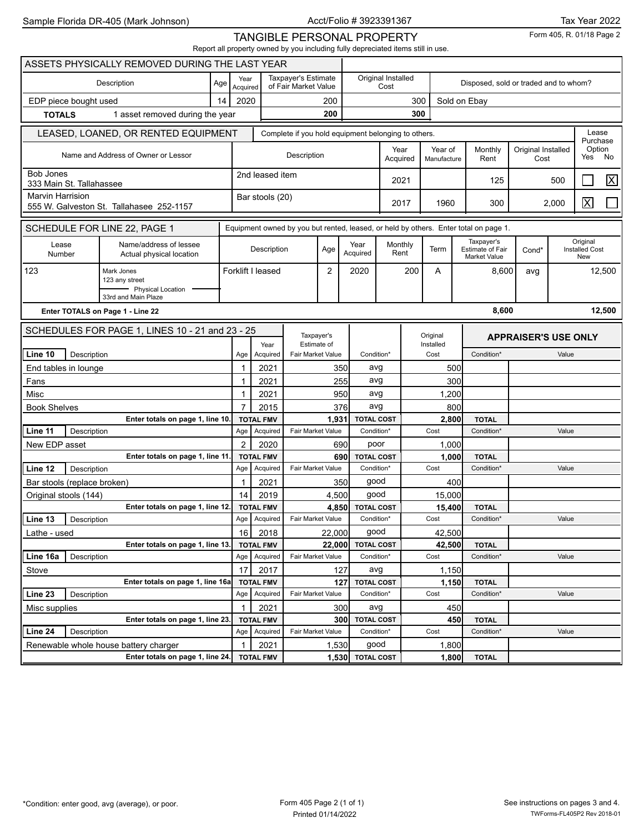Form 405, R. 01/18 Page 2

TANGIBLE PERSONAL PROPERTY Report all property owned by you including fully depreciated items still in use.

|                                              |                                  | ASSETS PHYSICALLY REMOVED DURING THE LAST YEAR     |                                                                                      |                                                     |                              |                                             |                |                  |                                 |                 |                                       |                                                       |                             |              |                                          |        |
|----------------------------------------------|----------------------------------|----------------------------------------------------|--------------------------------------------------------------------------------------|-----------------------------------------------------|------------------------------|---------------------------------------------|----------------|------------------|---------------------------------|-----------------|---------------------------------------|-------------------------------------------------------|-----------------------------|--------------|------------------------------------------|--------|
|                                              |                                  | Description                                        | Age                                                                                  | Year<br>Acquired                                    |                              | Taxpayer's Estimate<br>of Fair Market Value |                |                  | Original Installed<br>Cost      |                 | Disposed, sold or traded and to whom? |                                                       |                             |              |                                          |        |
| EDP piece bought used                        |                                  |                                                    | 14                                                                                   | 2020                                                |                              |                                             | 200            |                  |                                 | 300             |                                       | Sold on Ebay                                          |                             |              |                                          |        |
| <b>TOTALS</b>                                |                                  | 1 asset removed during the year                    |                                                                                      | 200                                                 |                              |                                             |                | 300              |                                 |                 |                                       |                                                       |                             |              |                                          |        |
|                                              |                                  | LEASED, LOANED, OR RENTED EQUIPMENT                |                                                                                      | Complete if you hold equipment belonging to others. |                              |                                             |                |                  |                                 |                 |                                       |                                                       |                             |              | Lease                                    |        |
|                                              |                                  |                                                    |                                                                                      |                                                     |                              |                                             |                | Year             | Year of                         | Monthly         | Original Installed                    |                                                       | Purchase<br>Option          |              |                                          |        |
|                                              |                                  | Name and Address of Owner or Lessor                |                                                                                      |                                                     |                              | Description                                 |                |                  |                                 | Acquired        | Manufacture                           | Rent                                                  | Cost                        |              | Yes                                      | No     |
| <b>Bob Jones</b><br>333 Main St. Tallahassee |                                  |                                                    |                                                                                      | 2nd leased item                                     |                              |                                             |                |                  | 2021                            |                 | 125                                   |                                                       | 500                         |              | $\overline{\mathsf{X}}$                  |        |
| <b>Marvin Harrision</b>                      |                                  |                                                    |                                                                                      | Bar stools (20)                                     |                              |                                             |                |                  | 2017                            | 1960            | 300                                   |                                                       | 2,000                       | $\mathsf{X}$ |                                          |        |
|                                              |                                  | 555 W. Galveston St. Tallahasee 252-1157           |                                                                                      |                                                     |                              |                                             |                |                  |                                 |                 |                                       |                                                       |                             |              |                                          |        |
|                                              |                                  | SCHEDULE FOR LINE 22, PAGE 1                       | Equipment owned by you but rented, leased, or held by others. Enter total on page 1. |                                                     |                              |                                             |                |                  |                                 |                 |                                       |                                                       |                             |              |                                          |        |
| Lease<br>Number                              |                                  | Name/address of lessee<br>Actual physical location |                                                                                      |                                                     | Description                  |                                             | Age            | Year<br>Acquired |                                 | Monthly<br>Rent | Term                                  | Taxpayer's<br>Estimate of Fair<br><b>Market Value</b> | Cond*                       |              | Original<br><b>Installed Cost</b><br>New |        |
| 123                                          |                                  | Mark Jones                                         |                                                                                      |                                                     | Forklift I leased            |                                             | $\overline{c}$ | 2020             |                                 | 200             | A                                     | 8,600                                                 | avg                         |              |                                          | 12,500 |
|                                              |                                  | 123 any street<br>- Physical Location              |                                                                                      |                                                     |                              |                                             |                |                  |                                 |                 |                                       |                                                       |                             |              |                                          |        |
|                                              |                                  | 33rd and Main Plaze                                |                                                                                      |                                                     |                              |                                             |                |                  |                                 |                 |                                       |                                                       |                             |              |                                          |        |
|                                              | Enter TOTALS on Page 1 - Line 22 |                                                    |                                                                                      |                                                     |                              |                                             |                |                  |                                 |                 | 8,600                                 |                                                       |                             |              | 12,500                                   |        |
|                                              |                                  | SCHEDULES FOR PAGE 1, LINES 10 - 21 and 23 - 25    |                                                                                      |                                                     |                              | Taxpayer's                                  |                |                  |                                 |                 | Original                              |                                                       | <b>APPRAISER'S USE ONLY</b> |              |                                          |        |
|                                              |                                  |                                                    |                                                                                      |                                                     | Year                         | Estimate of                                 |                |                  |                                 | Installed       |                                       |                                                       | Condition*<br>Value         |              |                                          |        |
| Line 10                                      | Description                      |                                                    |                                                                                      | Age                                                 | Acquired                     | Fair Market Value                           |                |                  | Condition*                      |                 | Cost                                  |                                                       |                             |              |                                          |        |
| End tables in lounge                         |                                  |                                                    |                                                                                      | 1<br>1                                              | 2021                         |                                             |                | 350<br>255       | avg                             |                 | 500<br>300                            |                                                       |                             |              |                                          |        |
| Fans                                         |                                  |                                                    |                                                                                      |                                                     | 2021                         |                                             |                |                  | avg                             |                 |                                       |                                                       |                             |              |                                          |        |
| Misc<br><b>Book Shelves</b>                  |                                  |                                                    |                                                                                      | 1<br>$\overline{7}$                                 | 2021<br>2015                 |                                             |                | 950<br>376       | avg<br>avg                      | 1,200           |                                       |                                                       |                             |              |                                          |        |
|                                              |                                  | Enter totals on page 1, line 10                    |                                                                                      |                                                     | <b>TOTAL FMV</b>             |                                             | 1,931          |                  | <b>TOTAL COST</b>               | 800<br>2,800    |                                       | <b>TOTAL</b>                                          |                             |              |                                          |        |
| Line 11                                      | Description                      |                                                    |                                                                                      | Age                                                 | Acquired                     | Fair Market Value                           |                |                  | Condition*                      | Cost            |                                       | Condition*                                            | Value                       |              |                                          |        |
| New EDP asset                                |                                  |                                                    |                                                                                      | 2                                                   | 2020                         |                                             |                | 690              | poor                            |                 | 1,000                                 |                                                       |                             |              |                                          |        |
|                                              |                                  | Enter totals on page 1, line 11.                   |                                                                                      |                                                     | <b>TOTAL FMV</b>             |                                             |                | 690              | <b>TOTAL COST</b>               |                 | 1,000                                 | <b>TOTAL</b>                                          |                             |              |                                          |        |
| Line 12                                      | Description                      |                                                    |                                                                                      | Age                                                 | Acquired                     | Fair Market Value                           |                |                  | Condition*                      |                 | Cost                                  | Condition*                                            |                             | Value        |                                          |        |
| Bar stools (replace broken)                  |                                  |                                                    |                                                                                      | 1                                                   | 2021                         |                                             |                | 350              | good                            |                 | 400                                   |                                                       |                             |              |                                          |        |
| Original stools (144)                        |                                  |                                                    |                                                                                      | 14                                                  | 2019                         |                                             | 4,500          |                  | good                            |                 | 15,000                                |                                                       |                             |              |                                          |        |
|                                              |                                  | Enter totals on page 1, line 12.                   |                                                                                      |                                                     | <b>TOTAL FMV</b>             |                                             | 4,850          |                  | <b>TOTAL COST</b>               |                 | 15,400                                | <b>TOTAL</b>                                          |                             |              |                                          |        |
| Line 13                                      | Description                      |                                                    |                                                                                      | Age                                                 | Acquired                     | Fair Market Value                           |                |                  | Condition*                      |                 | Cost                                  | Condition*                                            |                             | Value        |                                          |        |
| Lathe - used                                 |                                  |                                                    |                                                                                      | 16                                                  | 2018                         |                                             | 22,000         |                  | good                            |                 | 42,500                                |                                                       |                             |              |                                          |        |
|                                              |                                  | Enter totals on page 1, line 13.                   |                                                                                      |                                                     | <b>TOTAL FMV</b>             |                                             | 22,000         |                  | <b>TOTAL COST</b>               |                 | 42,500                                | <b>TOTAL</b>                                          |                             |              |                                          |        |
| Line 16a                                     | Description                      |                                                    |                                                                                      | Age                                                 | Acquired                     | Fair Market Value                           |                |                  | Condition*                      |                 | Cost                                  | Condition*                                            |                             | Value        |                                          |        |
| Stove                                        |                                  |                                                    |                                                                                      | 17                                                  | 2017                         |                                             |                | 127              | avg                             |                 | 1,150                                 |                                                       |                             |              |                                          |        |
|                                              |                                  | Enter totals on page 1, line 16a                   |                                                                                      |                                                     | <b>TOTAL FMV</b>             |                                             |                | 127              | <b>TOTAL COST</b>               |                 | 1,150                                 | <b>TOTAL</b>                                          |                             |              |                                          |        |
| Line 23                                      | Description                      |                                                    |                                                                                      | Age                                                 | Acquired                     | Fair Market Value                           |                |                  | Condition*                      |                 | Cost                                  | Condition*                                            |                             | Value        |                                          |        |
| Misc supplies                                |                                  |                                                    |                                                                                      | 1                                                   | 2021                         |                                             |                | 300              | avg                             |                 | 450                                   |                                                       |                             |              |                                          |        |
| Line 24                                      | Description                      | Enter totals on page 1, line 23.                   |                                                                                      | Age                                                 | <b>TOTAL FMV</b><br>Acquired | Fair Market Value                           |                | 300              | <b>TOTAL COST</b><br>Condition* |                 | Cost                                  | 450<br><b>TOTAL</b><br>Condition*                     |                             | Value        |                                          |        |
|                                              |                                  | Renewable whole house battery charger              |                                                                                      |                                                     |                              |                                             |                |                  | good                            |                 |                                       |                                                       |                             |              |                                          |        |
|                                              |                                  | Enter totals on page 1, line 24.                   |                                                                                      | 1                                                   | 2021<br><b>TOTAL FMV</b>     |                                             | 1,530          | 1,530 TOTAL COST |                                 |                 | 1,800<br>1,800                        | <b>TOTAL</b>                                          |                             |              |                                          |        |
|                                              |                                  |                                                    |                                                                                      |                                                     |                              |                                             |                |                  |                                 |                 |                                       |                                                       |                             |              |                                          |        |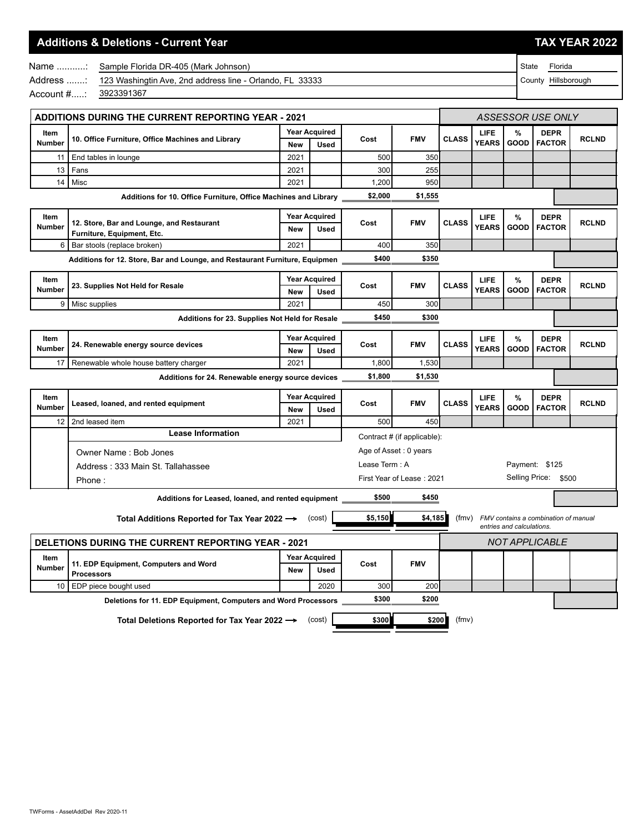## **Additions & Deletions - Current Year TAX YEAR 2022**

State Florida County Hillsborough

|                       | Name  Sample Florida DR-405 (Mark Johnson)                         |
|-----------------------|--------------------------------------------------------------------|
|                       | Address : 123 Washingtin Ave, 2nd address line - Orlando, FL 33333 |
| Account #: 3923391367 |                                                                    |
|                       |                                                                    |

| <b>ADDITIONS DURING THE CURRENT REPORTING YEAR - 2021</b> |                                                                             |            |                                     |                | ASSESSOR USE ONLY           |              |                      |                           |                                      |              |
|-----------------------------------------------------------|-----------------------------------------------------------------------------|------------|-------------------------------------|----------------|-----------------------------|--------------|----------------------|---------------------------|--------------------------------------|--------------|
| Item<br>Number                                            | 10. Office Furniture, Office Machines and Library                           | <b>New</b> | <b>Year Acquired</b><br><b>Used</b> | Cost           | <b>FMV</b>                  | <b>CLASS</b> | LIFE<br><b>YEARS</b> | %<br><b>GOOD</b>          | <b>DEPR</b><br><b>FACTOR</b>         | <b>RCLND</b> |
| 11                                                        | End tables in lounge                                                        | 2021       |                                     | 500            | 350                         |              |                      |                           |                                      |              |
| 13                                                        | Fans                                                                        | 2021       |                                     | 300            | 255                         |              |                      |                           |                                      |              |
| 14                                                        | Misc                                                                        | 2021       |                                     | 1,200          | 950                         |              |                      |                           |                                      |              |
|                                                           | Additions for 10. Office Furniture, Office Machines and Library             |            |                                     | \$2,000        | \$1,555                     |              |                      |                           |                                      |              |
| Item                                                      |                                                                             |            | <b>Year Acquired</b>                |                |                             |              | <b>LIFE</b>          | %                         | <b>DEPR</b>                          |              |
| <b>Number</b>                                             | 12. Store, Bar and Lounge, and Restaurant<br>Furniture, Equipment, Etc.     | <b>New</b> | <b>Used</b>                         | Cost           | <b>FMV</b>                  | <b>CLASS</b> | <b>YEARS</b>         | <b>GOOD</b>               | <b>FACTOR</b>                        | <b>RCLND</b> |
| 6                                                         | Bar stools (replace broken)                                                 | 2021       |                                     | 400            | 350                         |              |                      |                           |                                      |              |
|                                                           | Additions for 12. Store, Bar and Lounge, and Restaurant Furniture, Equipmen |            |                                     | \$400          | \$350                       |              |                      |                           |                                      |              |
| Item                                                      |                                                                             |            | <b>Year Acquired</b>                |                |                             |              | LIFE                 | %                         | <b>DEPR</b>                          |              |
| <b>Number</b>                                             | 23. Supplies Not Held for Resale                                            | <b>New</b> | <b>Used</b>                         | Cost           | <b>FMV</b>                  | <b>CLASS</b> | <b>YEARS</b>         | GOOD                      | <b>FACTOR</b>                        | <b>RCLND</b> |
| 9                                                         | Misc supplies                                                               | 2021       |                                     | 450            | 300                         |              |                      |                           |                                      |              |
|                                                           | Additions for 23. Supplies Not Held for Resale                              |            |                                     | \$450          | \$300                       |              |                      |                           |                                      |              |
| Item                                                      |                                                                             |            | <b>Year Acquired</b>                |                |                             |              | LIFE                 | %                         | <b>DEPR</b>                          |              |
| <b>Number</b>                                             | 24. Renewable energy source devices                                         | <b>New</b> | <b>Used</b>                         | Cost           | <b>FMV</b>                  | <b>CLASS</b> | <b>YEARS</b>         | <b>GOOD</b>               | <b>FACTOR</b>                        | <b>RCLND</b> |
| 17                                                        | Renewable whole house battery charger                                       | 2021       |                                     | 1,800          | 1,530                       |              |                      |                           |                                      |              |
|                                                           | Additions for 24. Renewable energy source devices                           |            |                                     | \$1,800        | \$1,530                     |              |                      |                           |                                      |              |
| Item                                                      |                                                                             |            | <b>Year Acquired</b>                |                |                             |              | LIFE                 | %                         | <b>DEPR</b>                          |              |
| Number                                                    | Leased, loaned, and rented equipment                                        | <b>New</b> | <b>Used</b>                         | Cost           | <b>FMV</b>                  | <b>CLASS</b> | <b>YEARS</b>         | <b>GOOD</b>               | <b>FACTOR</b>                        | <b>RCLND</b> |
| 12                                                        | 2nd leased item                                                             | 2021       |                                     | 500            | 450                         |              |                      |                           |                                      |              |
|                                                           | <b>Lease Information</b>                                                    |            |                                     |                | Contract # (if applicable): |              |                      |                           |                                      |              |
|                                                           | Owner Name: Bob Jones                                                       |            |                                     |                | Age of Asset: 0 years       |              |                      |                           |                                      |              |
|                                                           | Address: 333 Main St. Tallahassee                                           |            |                                     | Lease Term : A |                             |              |                      |                           | Payment: \$125                       |              |
|                                                           | Phone:                                                                      |            |                                     |                | First Year of Lease: 2021   |              |                      |                           | Selling Price: \$500                 |              |
|                                                           | Additions for Leased, loaned, and rented equipment _                        |            |                                     | \$500          | \$450                       |              |                      |                           |                                      |              |
|                                                           | Total Additions Reported for Tax Year 2022 -> (cost)                        |            |                                     | \$5,150        | \$4,185                     | (fmv)        |                      |                           | FMV contains a combination of manual |              |
|                                                           |                                                                             |            |                                     |                |                             |              |                      | entries and calculations. |                                      |              |
|                                                           | DELETIONS DURING THE CURRENT REPORTING YEAR - 2021                          |            |                                     |                |                             |              |                      |                           | <b>NOT APPLICABLE</b>                |              |
| Item<br><b>Number</b>                                     | 11. EDP Equipment, Computers and Word<br><b>Processors</b>                  | <b>New</b> | <b>Year Acquired</b><br><b>Used</b> | Cost           | <b>FMV</b>                  |              |                      |                           |                                      |              |
| 10                                                        | EDP piece bought used                                                       |            | 2020                                | 300            | 200                         |              |                      |                           |                                      |              |
|                                                           | Deletions for 11. EDP Equipment, Computers and Word Processors              |            |                                     | \$300          | \$200                       |              |                      |                           |                                      |              |

**Total Deletions Reported for Tax Year 2022**  $\rightarrow$  **(cost)** \$300 **\$300** (fmv)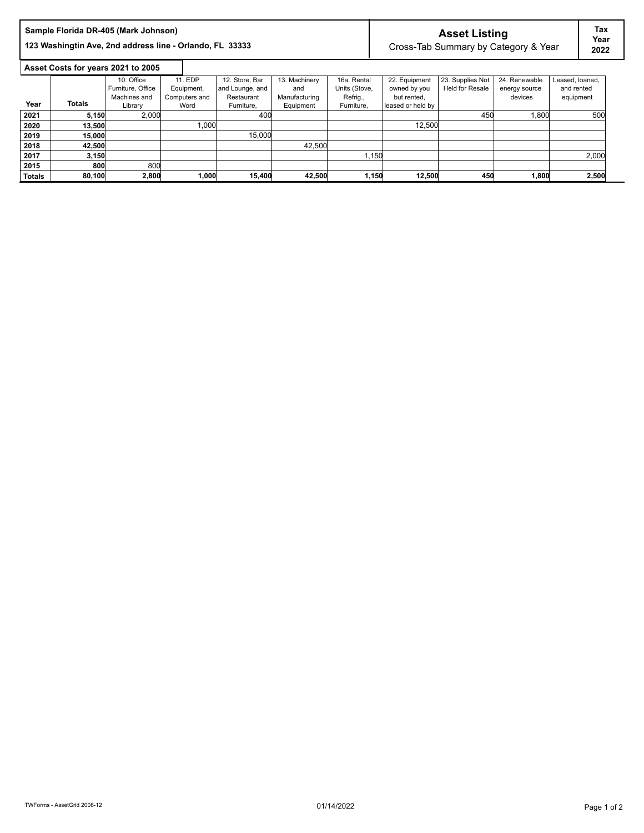|      |               | Sample Florida DR-405 (Mark Johnson)<br>123 Washingtin Ave, 2nd address line - Orlando, FL 33333 |               |                 |               |               |                   | <b>Asset Listing</b>   | Cross-Tab Summary by Category & Year |                 | Tax<br>Year<br>2022 |
|------|---------------|--------------------------------------------------------------------------------------------------|---------------|-----------------|---------------|---------------|-------------------|------------------------|--------------------------------------|-----------------|---------------------|
|      |               | Asset Costs for years 2021 to 2005                                                               |               |                 |               |               |                   |                        |                                      |                 |                     |
|      |               | 10. Office                                                                                       | 11. EDP       | 12. Store, Bar  | 13. Machinery | 16a. Rental   | 22. Equipment     | 23. Supplies Not       | 24. Renewable                        | Leased, loaned, |                     |
|      |               | Furniture, Office                                                                                | Equipment,    | and Lounge, and | and           | Units (Stove, | owned by you      | <b>Held for Resale</b> | energy source                        | and rented      |                     |
|      |               | Machines and                                                                                     | Computers and | Restaurant      | Manufacturing | Refrig.,      | but rented.       |                        | devices                              | equipment       |                     |
| Year | <b>Totals</b> | Library                                                                                          | Word          | Furniture.      | Equipment     | Furniture.    | leased or held by |                        |                                      |                 |                     |
| 2021 | 5,150         | 2,000                                                                                            |               | 400             |               |               |                   | 450                    | 1,800                                |                 | 500                 |
| 2020 | 13,500        |                                                                                                  | 1.000         |                 |               |               | 12,500            |                        |                                      |                 |                     |
| 2019 | 15,000        |                                                                                                  |               | 15,000          |               |               |                   |                        |                                      |                 |                     |
| 2018 | 42,500        |                                                                                                  |               |                 | 42,500        |               |                   |                        |                                      |                 |                     |
| 2017 | 3,150         |                                                                                                  |               |                 |               | 1,150         |                   |                        |                                      |                 | 2,000               |
| 2015 | 800           | 800                                                                                              |               |                 |               |               |                   |                        |                                      |                 |                     |

**Totals 80,100 2,800 1,000 15,400 42,500 1,150 12,500 450 1,800 2,500**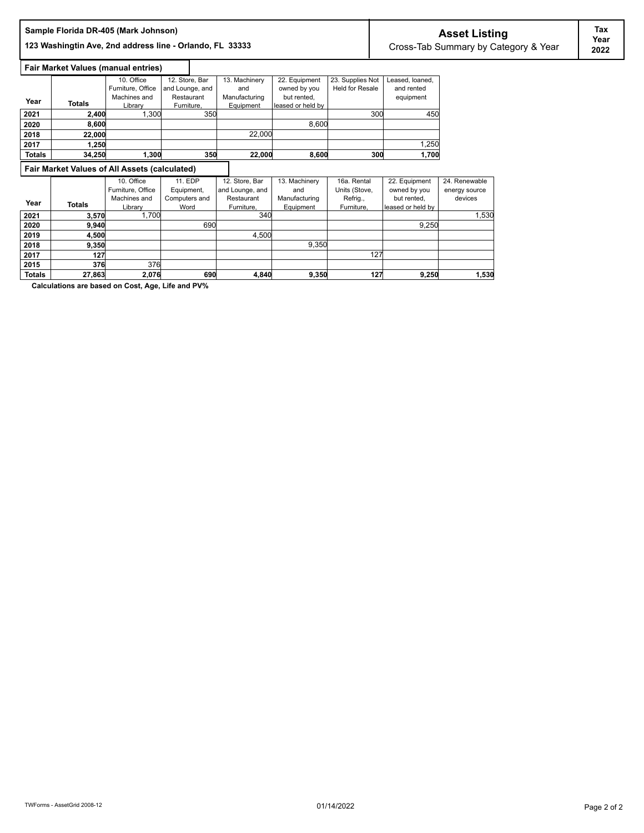# **Asset Listing Sample Florida DR-405 (Mark Johnson)**

123 Washingtin Ave, 2nd address line - Orlando, FL 33333 **Cross-Tab Summary by Category & Year** 

# **Fair Market Values (manual entries)**

|               |               | 10. Office        | 12. Store, Bar  | 13. Machinery | 22. Equipment     | 23. Supplies Not       | Leased, loaned, |
|---------------|---------------|-------------------|-----------------|---------------|-------------------|------------------------|-----------------|
|               |               | Furniture, Office | and Lounge, and | and           | owned by you      | <b>Held for Resale</b> | and rented      |
|               |               | Machines and      | Restaurant      | Manufacturing | but rented,       |                        | equipment       |
| Year          | <b>Totals</b> | Library           | Furniture.      | Equipment     | leased or held by |                        |                 |
| 2021          | 2.400         | 1.300             | 350             |               |                   | 300                    | 450             |
| 2020          | 8,600         |                   |                 |               | 8,600             |                        |                 |
| 2018          | 22,000        |                   |                 | 22,000        |                   |                        |                 |
| 2017          | 1.250         |                   |                 |               |                   |                        | 1,250           |
| <b>Totals</b> | 34.250        | .300              | 350             | 22,000        | 8,600             | 300                    | 1.700           |

### **Fair Market Values of All Assets (calculated)**

|               |        | Fair Market Values of All Assets (calculated) |               |                 |               |               |                   |               |
|---------------|--------|-----------------------------------------------|---------------|-----------------|---------------|---------------|-------------------|---------------|
|               |        | 10. Office                                    | 11. EDP       | 12. Store, Bar  | 13. Machinery | 16a. Rental   | 22. Equipment     | 24. Renewable |
|               |        | Furniture, Office                             | Equipment,    | and Lounge, and | and           | Units (Stove, | owned by you      | energy source |
| Year          |        | Machines and                                  | Computers and | Restaurant      | Manufacturing | Refrig.,      | but rented.       | devices       |
|               | Totals | Library                                       | Word          | Furniture.      | Equipment     | Furniture.    | leased or held by |               |
| 2021          | 3.570  | 1.700                                         |               | 340             |               |               |                   | 1.530         |
| 2020          | 9.940  |                                               | 690           |                 |               |               | 9,250             |               |
| 2019          | 4.500  |                                               |               | 4,500           |               |               |                   |               |
| 2018          | 9.350  |                                               |               |                 | 9.350         |               |                   |               |
| 2017          | 127    |                                               |               |                 |               | 127           |                   |               |
| 2015          | 376    | 376                                           |               |                 |               |               |                   |               |
| <b>Totals</b> | 27,863 | 2,076                                         | 690           | 4.840           | 9,350         | 127           | 9,250             | 1,530         |

**Calculations are based on Cost, Age, Life and PV%**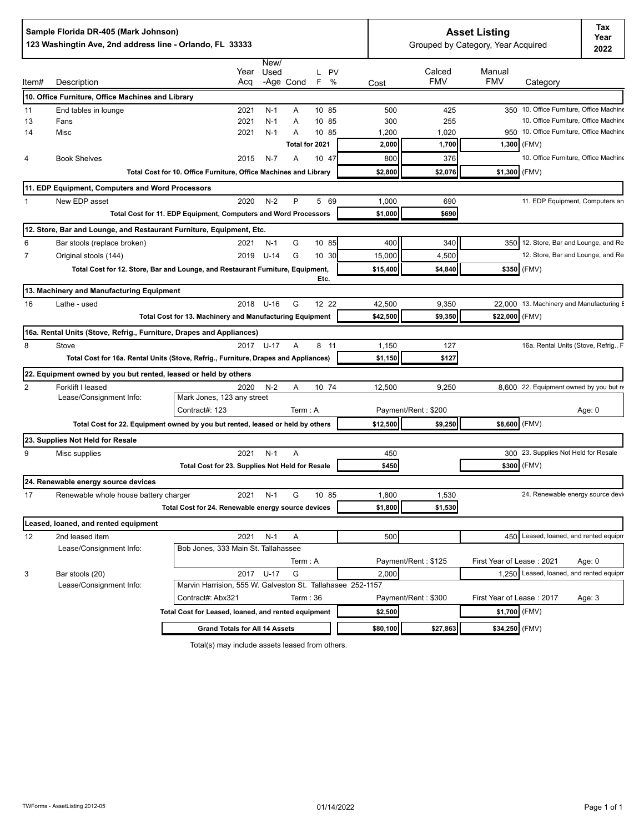|                | Sample Florida DR-405 (Mark Johnson)<br>123 Washingtin Ave, 2nd address line - Orlando, FL 33333 |                                                                                        |              | <b>Asset Listing</b><br>Grouped by Category, Year Acquired |                                                                                  |          |
|----------------|--------------------------------------------------------------------------------------------------|----------------------------------------------------------------------------------------|--------------|------------------------------------------------------------|----------------------------------------------------------------------------------|----------|
|                |                                                                                                  | New/<br>Year<br>Used<br>L PV                                                           |              | Calced                                                     | Manual                                                                           |          |
| ltem#          | Description                                                                                      | -Age Cond<br>%<br>Acq<br>F                                                             | Cost         | <b>FMV</b>                                                 | <b>FMV</b><br>Category                                                           |          |
|                | 10. Office Furniture, Office Machines and Library                                                |                                                                                        |              |                                                            |                                                                                  |          |
| 11             | End tables in lounge                                                                             | 10 85<br>2021<br>$N-1$<br>Α                                                            | 500          | 425                                                        | 350 10. Office Furniture, Office Machine                                         |          |
| 13<br>14       | Fans<br>Misc                                                                                     | 2021<br>$N-1$<br>10 85<br>A<br>$N-1$<br>10 85<br>2021<br>Α                             | 300<br>1,200 | 255<br>1,020                                               | 10. Office Furniture, Office Machine<br>950 10. Office Furniture, Office Machine |          |
|                |                                                                                                  | Total for 2021                                                                         | 2,000        | 1,700                                                      | $1,300$ (FMV)                                                                    |          |
| 4              | <b>Book Shelves</b>                                                                              | 2015<br>$N-7$<br>10 47<br>Α                                                            | 800          | 376                                                        | 10. Office Furniture, Office Machine                                             |          |
|                |                                                                                                  | Total Cost for 10. Office Furniture, Office Machines and Library                       | \$2,800      | \$2,076                                                    | (FMV)<br>\$1,300                                                                 |          |
|                |                                                                                                  |                                                                                        |              |                                                            |                                                                                  |          |
|                | 11. EDP Equipment, Computers and Word Processors<br>New EDP asset                                | $N-2$<br>2020<br>P<br>5 69                                                             | 1,000        | 690                                                        | 11. EDP Equipment, Computers an                                                  |          |
| 1              |                                                                                                  | Total Cost for 11. EDP Equipment, Computers and Word Processors                        | \$1,000      | \$690                                                      |                                                                                  |          |
|                |                                                                                                  |                                                                                        |              |                                                            |                                                                                  |          |
|                | 12. Store, Bar and Lounge, and Restaurant Furniture, Equipment, Etc.                             |                                                                                        |              |                                                            |                                                                                  |          |
| 6              | Bar stools (replace broken)                                                                      | 10 85<br>$N-1$<br>G<br>2021                                                            | 400          | 340                                                        | 350 12. Store, Bar and Lounge, and Re                                            |          |
| $\overline{7}$ | Original stools (144)                                                                            | G<br>$U-14$<br>10 30<br>2019                                                           | 15,000       | 4,500                                                      | 12. Store, Bar and Lounge, and Re                                                |          |
|                |                                                                                                  | Total Cost for 12. Store, Bar and Lounge, and Restaurant Furniture, Equipment,<br>Etc. | \$15,400     | \$4,840                                                    | \$350 (FMV)                                                                      |          |
|                | 13. Machinery and Manufacturing Equipment                                                        |                                                                                        |              |                                                            |                                                                                  |          |
| 16             | Lathe - used                                                                                     | 2018 U-16<br>G<br>12 22                                                                | 42,500       | 9,350                                                      | 22.000 13. Machinery and Manufacturing E                                         |          |
|                |                                                                                                  | Total Cost for 13. Machinery and Manufacturing Equipment                               | \$42,500     | \$9,350                                                    | \$22,000 (FMV)                                                                   |          |
|                | 16a. Rental Units (Stove, Refrig., Furniture, Drapes and Appliances)                             |                                                                                        |              |                                                            |                                                                                  |          |
| 8              | Stove                                                                                            | 2017 U-17<br>A<br>8 11                                                                 | 1,150        | 127                                                        | 16a. Rental Units (Stove, Refrig., F                                             |          |
|                |                                                                                                  | Total Cost for 16a. Rental Units (Stove, Refrig., Furniture, Drapes and Appliances)    | \$1,150      | \$127                                                      |                                                                                  |          |
|                | 22. Equipment owned by you but rented, leased or held by others                                  |                                                                                        |              |                                                            |                                                                                  |          |
| $\overline{2}$ | Forklift I leased                                                                                | 2020<br>$N-2$<br>10 74<br>Α                                                            | 12,500       | 9,250                                                      | 8.600 22. Equipment owned by you but re                                          |          |
|                | Lease/Consignment Info:                                                                          | Mark Jones, 123 any street                                                             |              |                                                            |                                                                                  |          |
|                |                                                                                                  | Contract#: 123<br>Term: A                                                              |              | Payment/Rent: \$200                                        |                                                                                  | Age: 0   |
|                |                                                                                                  | Total Cost for 22. Equipment owned by you but rented, leased or held by others         | \$12,500     | \$9,250                                                    | \$8,600 (FMV)                                                                    |          |
|                | 23. Supplies Not Held for Resale                                                                 |                                                                                        |              |                                                            |                                                                                  |          |
| 9              | Misc supplies                                                                                    | 2021<br>$N-1$<br>A                                                                     | 450          |                                                            | 300 23. Supplies Not Held for Resale                                             |          |
|                |                                                                                                  | Total Cost for 23. Supplies Not Held for Resale                                        | \$450        |                                                            | \$300 (FMV)                                                                      |          |
|                | 24. Renewable energy source devices                                                              |                                                                                        |              |                                                            |                                                                                  |          |
| 17             | Renewable whole house battery charger                                                            | G<br>2021 N-1<br>10 85                                                                 | 1,800        | 1,530                                                      | 24. Renewable energy source devir                                                |          |
|                |                                                                                                  | Total Cost for 24. Renewable energy source devices                                     | \$1,800      | \$1,530                                                    |                                                                                  |          |
|                | Leased, loaned, and rented equipment                                                             |                                                                                        |              |                                                            |                                                                                  |          |
| 12             | 2nd leased item                                                                                  | $N-1$<br>2021<br>Α                                                                     | 500          |                                                            | 450 Leased, loaned, and rented equipm                                            |          |
|                | Lease/Consignment Info:                                                                          | Bob Jones, 333 Main St. Tallahassee                                                    |              |                                                            |                                                                                  |          |
|                |                                                                                                  | Term : A                                                                               |              | Payment/Rent: \$125                                        | First Year of Lease: 2021                                                        | Age: $0$ |
| 3              | Bar stools (20)                                                                                  | 2017 U-17<br>G                                                                         | 2,000        |                                                            | 1.250 Leased, loaned, and rented equipm                                          |          |
|                | Lease/Consignment Info:                                                                          | Marvin Harrision, 555 W. Galveston St. Tallahasee 252-1157                             |              |                                                            |                                                                                  |          |
|                |                                                                                                  | Contract#: Abx321<br>Term: $36$                                                        |              | Payment/Rent: \$300                                        | First Year of Lease: 2017                                                        | Age: 3   |
|                |                                                                                                  | Total Cost for Leased, loaned, and rented equipment                                    | \$2,500      |                                                            | \$1,700 (FMV)                                                                    |          |
|                |                                                                                                  | <b>Grand Totals for All 14 Assets</b>                                                  | \$80,100     | \$27,863                                                   | $$34,250$ (FMV)                                                                  |          |
|                |                                                                                                  |                                                                                        |              |                                                            |                                                                                  |          |

Total(s) may include assets leased from others.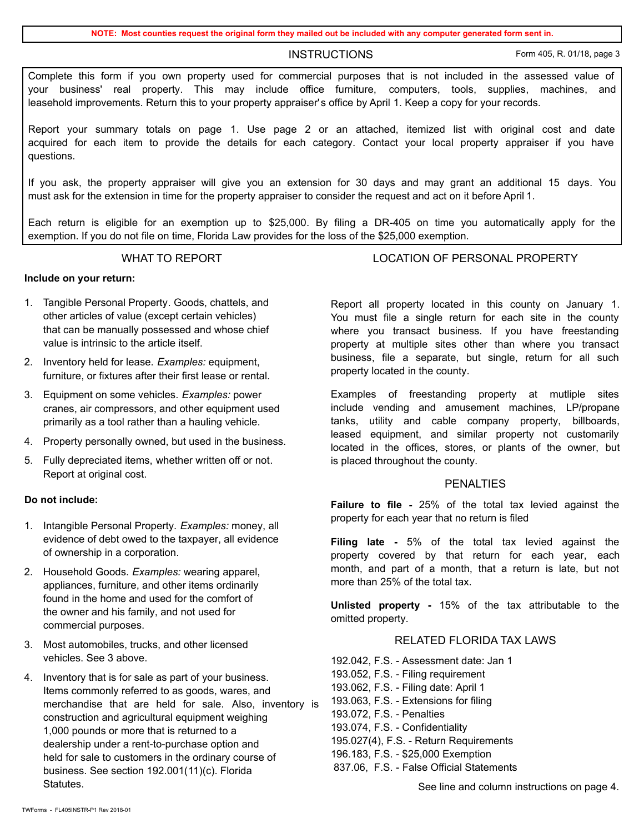**NOTE: Most counties request the original form they mailed out be included with any computer generated form sent in.**

INSTRUCTIONS Form 405, R. 01/18, page 3

Complete this form if you own property used for commercial purposes that is not included in the assessed value of your business' real property. This may include office furniture, computers, tools, supplies, machines, and leasehold improvements. Return this to your property appraiser's office by April 1. Keep a copy for your records.

Report your summary totals on page 1. Use page 2 or an attached, itemized list with original cost and date acquired for each item to provide the details for each category. Contact your local property appraiser if you have questions.

If you ask, the property appraiser will give you an extension for 30 days and may grant an additional 15 days. You must ask for the extension in time for the property appraiser to consider the request and act on it before April 1.

Each return is eligible for an exemption up to \$25,000. By filing a DR-405 on time you automatically apply for the exemption. If you do not file on time, Florida Law provides for the loss of the \$25,000 exemption.

### **Include on your return:**

- 1. Tangible Personal Property. Goods, chattels, and other articles of value (except certain vehicles) that can be manually possessed and whose chief value is intrinsic to the article itself.
- 2. Inventory held for lease. *Examples:* equipment, furniture, or fixtures after their first lease or rental.
- 3. Equipment on some vehicles. *Examples:* power cranes, air compressors, and other equipment used primarily as a tool rather than a hauling vehicle.
- 4. Property personally owned, but used in the business.
- 5. Fully depreciated items, whether written off or not. Report at original cost.

### **Do not include:**

- 1. Intangible Personal Property. *Examples:* money, all evidence of debt owed to the taxpayer, all evidence of ownership in a corporation.
- 2. Household Goods. *Examples:* wearing apparel, appliances, furniture, and other items ordinarily found in the home and used for the comfort of the owner and his family, and not used for commercial purposes.
- 3. Most automobiles, trucks, and other licensed vehicles. See 3 above.
- 4. Inventory that is for sale as part of your business. Items commonly referred to as goods, wares, and merchandise that are held for sale. Also, inventory is construction and agricultural equipment weighing 1,000 pounds or more that is returned to a dealership under a rent-to-purchase option and held for sale to customers in the ordinary course of business. See section 192.001(11)(c). Florida Statutes.

WHAT TO REPORT THE RESONAL PROPERTY

Report all property located in this county on January 1. You must file a single return for each site in the county where you transact business. If you have freestanding property at multiple sites other than where you transact business, file a separate, but single, return for all such property located in the county.

Examples of freestanding property at mutliple sites include vending and amusement machines, LP/propane tanks, utility and cable company property, billboards, leased equipment, and similar property not customarily located in the offices, stores, or plants of the owner, but is placed throughout the county.

#### PENALTIES

**Failure to file -** 25% of the total tax levied against the property for each year that no return is filed

**Filing late -** 5% of the total tax levied against the property covered by that return for each year, each month, and part of a month, that a return is late, but not more than 25% of the total tax.

**Unlisted property -** 15% of the tax attributable to the omitted property.

## RELATED FLORIDA TAX LAWS

192.042, F.S. - Assessment date: Jan 1 193.052, F.S. - Filing requirement 193.062, F.S. - Filing date: April 1 193.063, F.S. - Extensions for filing 193.072, F.S. - Penalties 193.074, F.S. - Confidentiality 195.027(4), F.S. - Return Requirements 196.183, F.S. - \$25,000 Exemption 837.06, F.S. - False Official Statements

See line and column instructions on page 4.